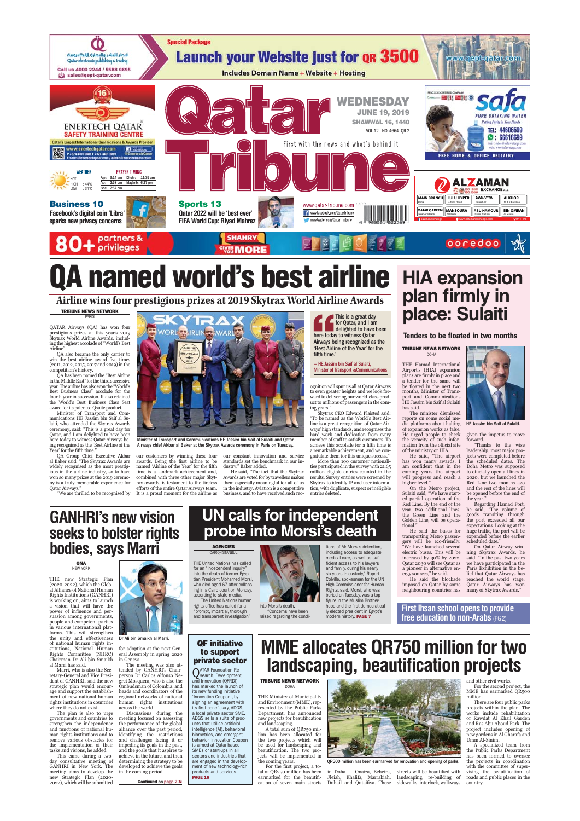

# named world's best airline

**Airline wins four prestigious prizes at 2019 Skytrax World Airline Awards**

**TRIBUNE NEWS NETWORK** PARIS

QATAR Airways (QA) has won four prestigious prizes at this year's 2019 Skytrax World Airline Awards, includ-ing the highest accolade of "World's Best Airline".

QA also became the only carrier to win the best airline award five times

(2011, 2012, 2015, 2017 and 2019) in the competition's history. QA has been named the "Best Airline in the Middle East" for the third successive

year. The airline has also won the "World"<br>Eest Ensimes Class" accolade for the fourth year in succession. It also retained<br>fourth year in succession. It also retained the World's Best Ensiness Class Seat<br>award for its pat

Year' for the fifth time." QA Group Chief Executive Akbar al Baker said, "The Skytrax Awards are widely recognised as the most prestig-ious in the airline industry, so to have won so many prizes at the 2019 ceremony is a truly memorable experience for Qatar Airways." "We are thrilled to be recognised by



Minister of Transport and Communications HE Jassim bin Saif al Sulaiti and Qatar Airways chief Akbar al Baker at the Skytrax Awards ceremony in Paris on Tuesday.

our customers by winning these four<br>awards. Being the first airline to be<br>named 'Airline of the Year' for the fifth<br>time is a landmark achievement and,<br>combined with three other major Skyt-

rax awards, is testament to the tireless efforts of the entire Qatar Airways team. It is a proud moment for the airline as

This is a great day for Qatar, and I am delighted to have been here today to witness Qatar Airways being recognized as the 'Best Airline of the Year' for the fifth time." —<br>— HE Jassim bin Saif al Sulaiti Minister of Transport &Communications

ognition will spur us all at Qatar Airways to even greater heights and we look for-ward to delivering our world-class prod-uct to millions of passengers in the com-

ing vears."<br>
Years." Skytrax CEO Edward Plaisted said:<br>"To be named as the World's Best Air-<br>line is a great recognition of Qatar Air-<br>ways' high standards, and recognises the<br>hard work and dedication from every<br>member of

a remarkable achievement, and we con-gratulate them for this unique success." More than 100 customer nationalities participated in the survey with 21.65 million eligible entries counted in the results. Survey entries were screened by Skytrax to identify IP and user informa-tion, with duplicate, suspect or ineligible entries deleted.

**HIA expansion plan firmly in place: Sulaiti**

**Tenders to be floated in two months**

**TRIBUNE NEWS NETWORK**

**DOHA** THE Hamad International

Airport's (HIA) expansion plans are firmly in place and a tender for the same will be floated in the next two months, Minister of Trans-

port and Communications<br>HE Jassim bin Sairla Sulatin<br>The minister dismissed<br>reports on some social me-<br>reports on some social me-<br>dia platforms about halting<br>of expansion works as false.<br>He urged people to check<br>the veraci

of the ministry or HIA. He said, "The airport has won many awards. I<br>am confident that in the<br>coming years the airport<br>will progress and reach a<br>higher level."<br>On the Metro project,<br>Sulaiti said, "We have start-

ed partial operation of the Georgian of the Real particular lines, the Green Line and the Green Line and the Green Line and the Godden Line, will be operationally Method and the space of transporting Method gesser (with li

He said the blockade imposed on Qatar by some neighbouring countries has



HE Jassim bin Saif al Sula

given the impetus to move forward. "Thanks to the wise

leadership, most major pro-jects were completed before the scheduled dates. The Doha Metro was supposed to officially open all lines in 2020, but we launched the Red Line two months ago and the rest of the lines will

be opened before the end of<br>the pear."<br>Regarding Hamad Port,<br>Regarding Hamad Port,<br>goods transiting through<br>the port exceeded all our<br>expectations.<br>Looking at the port will be<br>pear affic, the port will be<br>exhadule before t

On Qatar Airway win-<br>ning Skytrax Awards, he<br>said, "In the past two years<br>we have participated in the<br>Paris Exhibition in the be-<br>lief that Qatar Airways has<br>reached the world stage.<br>Qatar Airways has<br>many of Skytrax Award

**First Ihsan school opens to provide free education to non-Arabs** (PG 2)

**GANHRI's new vision seeks to bolster rights bodies, says Marri**

#### **QNA** NEW YORK

THE new Strategic Plan (2020-2022), which the Glob-al Alliance of National Human Rights Institutions (GANHRI) is working on, aims to launch a vision that will have the power of influence and per-suasion among governments, people and competent parties<br>in Smart and Singular and Singular and Singular and Harburg and Singular and Singular Singular Singular<br>Kights Committee (NHRC)<br>Nights Committee (NHRC)<br>Charlman Dr Ali bin Smakh<br>Ali Marri has s

age and support the establish-<br>ment of new national human<br>rights institutions in countries<br>where they do not exist.<br>The plan is also to urge<br>governments and countries to<br>strengthen the independence

and functions of national hu-man rights institutions and to remove various obstacles for

the implementation of their<br>tasks and visions, he added.<br>May consultative meeting a two-<br>day consultative meeting of<br>GANHRI in New York. The<br>meeting aims to develop the new Strategic Plan (2020- 2022), which will be submitted



for adoption at the next General Assembly in spring 2020

eral Assembly in spring 2020<br>
in Geneva.<br>
The meeting was also attended by GANHRI's Chair-<br>
represent DC carlos Alfonso Ne-<br>
person Dr Carlos Alfonso Ne-<br>
person decomposition of the Computation<br>
of Colombia, and<br>
he compu

alliance over the past period, identifying the restrictions and challenges facing it or impeding its goals in the past, and the goals that it aspires to achieve in the future, and then determining the strategy to be developed to achieve the goals in the coming period.

**Continued on page 2 St** 

### **UN calls for independent probe into Morsi's death**

our constant innovation and service standards set the benchmark in our industry," Baker added. He said, "The fact that the Skytrax Awards are voted for by travellers makes them especially meaningful for all of us in the industry. Aviation is a competitive business, and to have received such rec-

CAIRO/ISTANBUL THE United Nations has called for an "independent inquiry" into the death of former Egyp-tian President Mohamed Morsi, who died aged 67 after collaps-ing in a Cairo court on Monday, according to state media. The United Nations human

**AGENCIES**

rights office has called for a "prompt, impartial, thorough and transparent investigation"

### QF initiative to support private sector

QATAR Foundation Re-search, Development and Innovation (QFRDI)

has marked the launch of<br>
its new funding initiative,<br>
'Innovation Coupon', by<br>
signing an agreement with<br>
its first beneficiary, ADGS,<br>
a local private sector SME.<br>
ADGS sells a suite of products that utilise artificial intelligence (AI), behavioral biometrics, and emergent behavior. Innovation Coupon

is aimed at Qatar-based<br>SMEs or start-ups in all<br>sectors and industries that<br>are engaged in the develop-<br>ment of new technology-rich<br>products and services.<br>**PAGE 16** 



"Concerns have been raised regarding the condi-







buried on Tuesday, was a top figure in the Muslim Brotherhood and the first democratical

**MME allocates QR750 million for two landscaping, beautification projects**

and other civil works. For the second project, the MME has earmarked QR500

llion.<br>- There are four public parks There are four public parks projects within the plan. The works include rehabilitation of Rawdat Al Khail Garden and Ras Abu Aboud Park. The project includes opening of new gardens in Al Gharafa and Umm Al-Sinim.

A specialized team from the Public Parks Department has been formed to oversee the projects in coordination<br>with the committee of super-<br>vising the beautification of<br>roads and public places in the<br>country.

**TRIBUNE NEWS NETWORK** DOHA

THE Ministry of Municipality and Environment (MME), rep-resented by the Public Parks Department, has announced new projects for beautification and landscaping. A total sum of QR750 mil-

lion has been allocated for<br>the two projects which will<br>be used for landscaping and<br>beautifacation. The two pro-<br>jects will be implemented in<br>the coming years.<br>To the right of the state of the project, a to-<br>tal of QR250 m



in Doha — Onaiza, Beheira, Jleiah, Khalifa, Marrakiah, Duhail and Qutaifiya. These

QR500 million has been earmarked for renovation and opening of parks.

streets will be beautified with landscaping, re-building of sidewalks, interlock, walkways